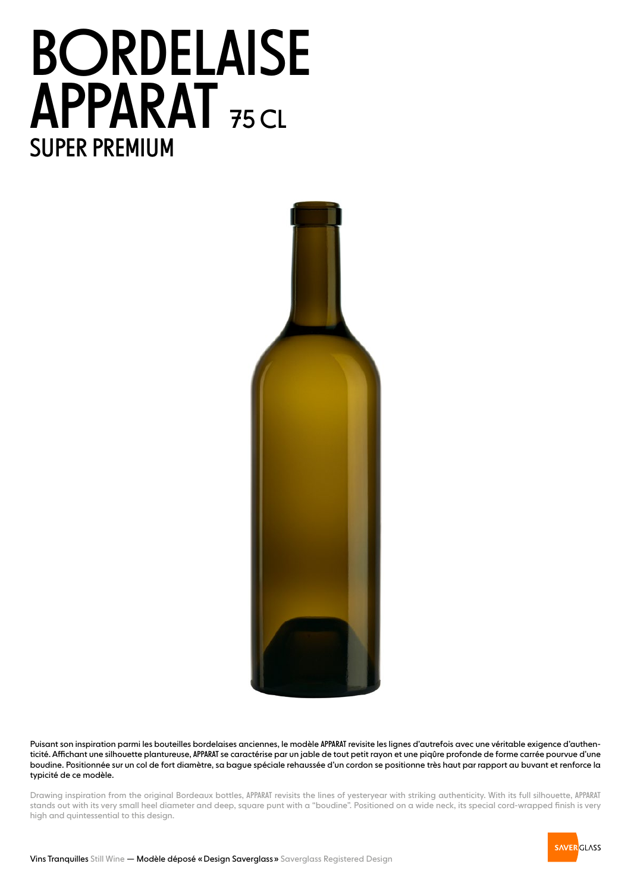## BORDELAISE APPARAT<sub>75 CL</sub> SUPER PREMIUM



Puisant son inspiration parmi les bouteilles bordelaises anciennes, le modèle APPARAT revisite les lignes d'autrefois avec une véritable exigence d'authenticité. Affichant une silhouette plantureuse, APPARAT se caractérise par un jable de tout petit rayon et une piqûre profonde de forme carrée pourvue d'une boudine. Positionnée sur un col de fort diamètre, sa bague spéciale rehaussée d'un cordon se positionne très haut par rapport au buvant et renforce la typicité de ce modèle.

Drawing inspiration from the original Bordeaux bottles, APPARAT revisits the lines of yesteryear with striking authenticity. With its full silhouette, APPARAT stands out with its very small heel diameter and deep, square punt with a "boudine". Positioned on a wide neck, its special cord-wrapped finish is very high and quintessential to this design.